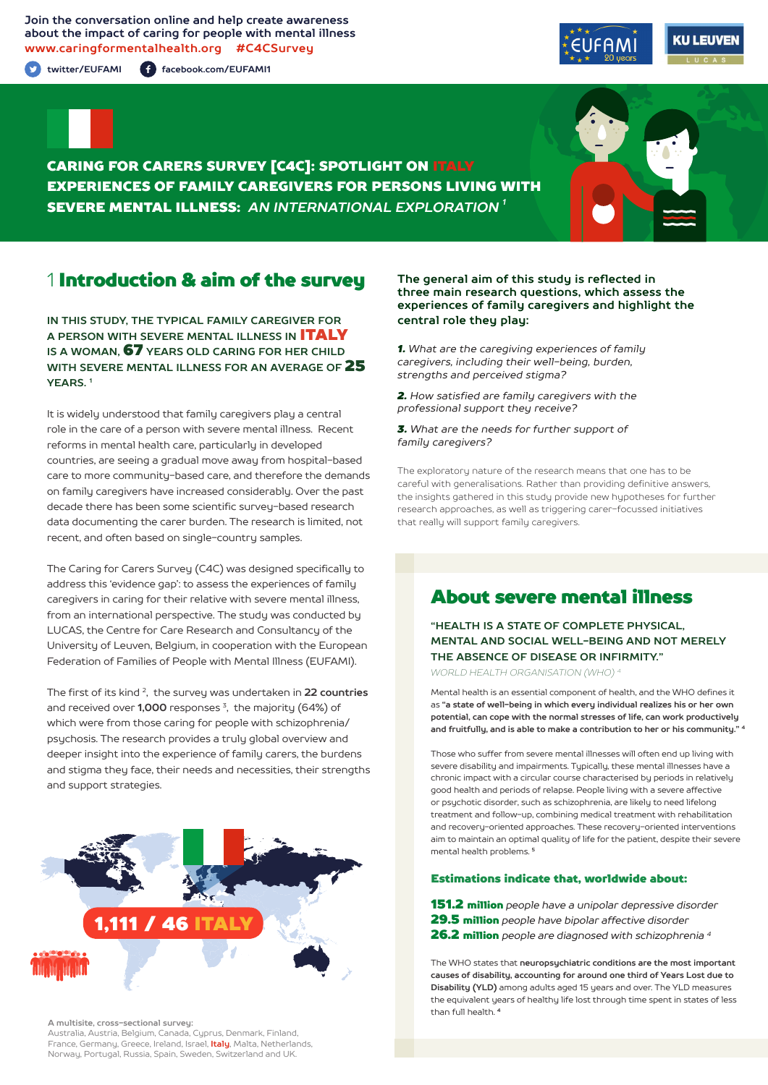**Join the conversation online and help create awareness about the impact of caring for people with mental illness www.caringformentalhealth.org #C4CSurvey**

**twitter/EUFAMI facebook.com/EUFAMI1**





CARING FOR CARERS SURVEY [C4C]: SPOTLIGHT ON ITALY EXPERIENCES OF FAMILY CAREGIVERS FOR PERSONS LIVING WITH SEVERE MENTAL ILLNESS: *AN INTERNATIONAL EXPLORATION 1*

## 1 Introduction & aim of the survey

**IN THIS STUDY, THE TYPICAL FAMILY CAREGIVER FOR A PERSON WITH SEVERE MENTAL ILLNESS IN** ITALY **IS A WOMAN,** 67 **YEARS OLD CARING FOR HER CHILD WITH SEVERE MENTAL ILLNESS FOR AN AVERAGE OF** 25 **YEARS. 1**

It is widely understood that family caregivers play a central role in the care of a person with severe mental illness. Recent reforms in mental health care, particularly in developed countries, are seeing a gradual move away from hospital-based care to more community-based care, and therefore the demands on family caregivers have increased considerably. Over the past decade there has been some scientific survey-based research data documenting the carer burden. The research is limited, not recent, and often based on single-country samples.

The Caring for Carers Survey (C4C) was designed specifically to address this 'evidence gap': to assess the experiences of family caregivers in caring for their relative with severe mental illness, from an international perspective. The study was conducted by LUCAS, the Centre for Care Research and Consultancy of the University of Leuven, Belgium, in cooperation with the European Federation of Families of People with Mental Illness (EUFAMI).

The first of its kind 2, the survey was undertaken in **22 countries** and received over **1,000** responses 3, the majority (64%) of which were from those caring for people with schizophrenia/ psychosis. The research provides a truly global overview and deeper insight into the experience of family carers, the burdens and stigma they face, their needs and necessities, their strengths and support strategies.



**A multisite, cross-sectional survey:** 

Australia, Austria, Belgium, Canada, Cyprus, Denmark, Finland, France, Germany, Greece, Ireland, Israel, **Italy**, Malta, Netherlands, Norway, Portugal, Russia, Spain, Sweden, Switzerland and UK.

#### **The general aim of this study is reflected in three main research questions, which assess the experiences of family caregivers and highlight the central role they play:**

*1. What are the caregiving experiences of family caregivers, including their well-being, burden, strengths and perceived stigma?*

*2. How satisfied are family caregivers with the professional support they receive?*

*3. What are the needs for further support of family caregivers?*

The exploratory nature of the research means that one has to be careful with generalisations. Rather than providing definitive answers, the insights gathered in this study provide new hypotheses for further research approaches, as well as triggering carer-focussed initiatives that really will support family caregivers.

# About severe mental illness

**"HEALTH IS A STATE OF COMPLETE PHYSICAL, MENTAL AND SOCIAL WELL-BEING AND NOT MERELY THE ABSENCE OF DISEASE OR INFIRMITY."**

*WORLD HEALTH ORGANISATION (WHO) 4*

Mental health is an essential component of health, and the WHO defines it as **"a state of well-being in which every individual realizes his or her own potential, can cope with the normal stresses of life, can work productively and fruitfully, and is able to make a contribution to her or his community." <sup>4</sup>**

Those who suffer from severe mental illnesses will often end up living with severe disability and impairments. Typically, these mental illnesses have a chronic impact with a circular course characterised by periods in relatively good health and periods of relapse. People living with a severe affective or psychotic disorder, such as schizophrenia, are likely to need lifelong treatment and follow-up, combining medical treatment with rehabilitation and recovery-oriented approaches. These recovery-oriented interventions aim to maintain an optimal quality of life for the patient, despite their severe mental health problems. **<sup>5</sup>**

### Estimations indicate that, worldwide about:

151.2 million *people have a unipolar depressive disorder* 29.5 million *people have bipolar affective disorder* 26.2 million *people are diagnosed with schizophrenia 4*

The WHO states that **neuropsychiatric conditions are the most important causes of disability, accounting for around one third of Years Lost due to Disability (YLD)** among adults aged 15 years and over. The YLD measures the equivalent years of healthy life lost through time spent in states of less than full health. **<sup>4</sup>**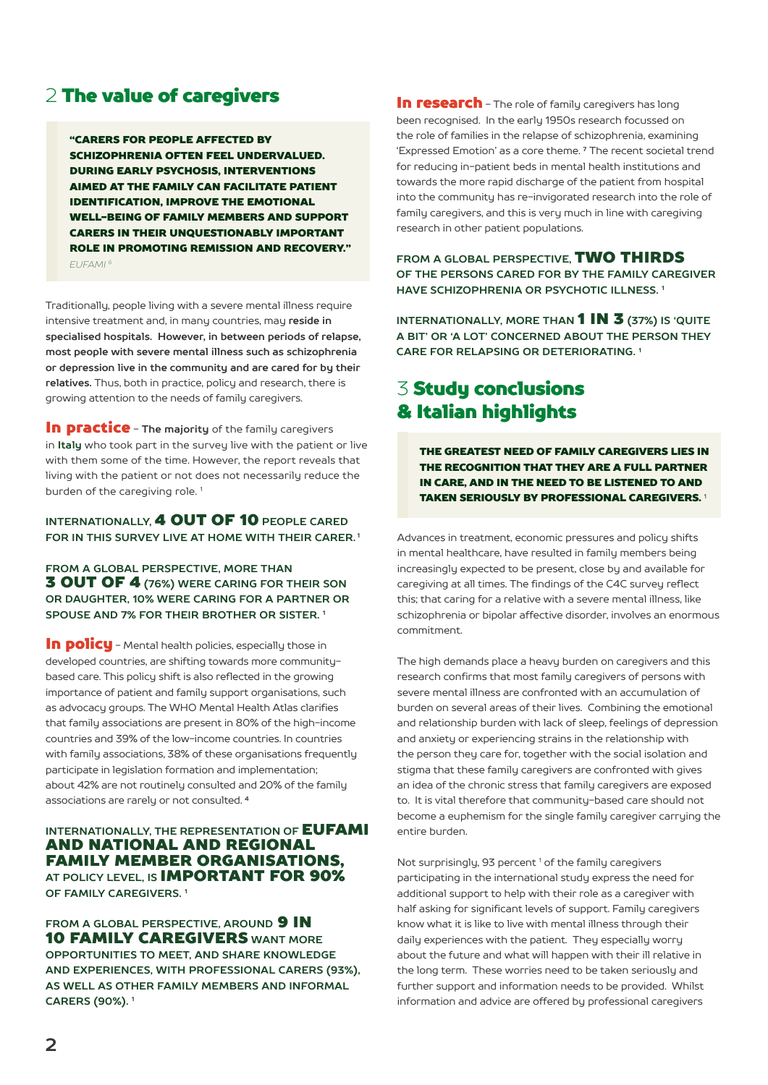# 2 The value of caregivers

"CARERS FOR PEOPLE AFFECTED BY SCHIZOPHRENIA OFTEN FEEL UNDERVALUED. DURING EARLY PSYCHOSIS, INTERVENTIONS AIMED AT THE FAMILY CAN FACILITATE PATIENT IDENTIFICATION, IMPROVE THE EMOTIONAL WELL-BEING OF FAMILY MEMBERS AND SUPPORT CARERS IN THEIR UNQUESTIONABLY IMPORTANT ROLE IN PROMOTING REMISSION AND RECOVERY." *EUFAMI 6*

Traditionally, people living with a severe mental illness require intensive treatment and, in many countries, may **reside in specialised hospitals. However, in between periods of relapse, most people with severe mental illness such as schizophrenia or depression live in the community and are cared for by their relatives.** Thus, both in practice, policy and research, there is growing attention to the needs of family caregivers.

In practice - **The majority** of the family caregivers in **Italy** who took part in the survey live with the patient or live with them some of the time. However, the report reveals that living with the patient or not does not necessarily reduce the burden of the caregiving role.<sup>1</sup>

### **INTERNATIONALLY,** 4 OUT OF 10 **PEOPLE CARED FOR IN THIS SURVEY LIVE AT HOME WITH THEIR CARER. 1**

### **FROM A GLOBAL PERSPECTIVE, MORE THAN** 3 OUT OF 4 **(76%) WERE CARING FOR THEIR SON OR DAUGHTER, 10% WERE CARING FOR A PARTNER OR SPOUSE AND 7% FOR THEIR BROTHER OR SISTER. 1**

In policu - Mental health policies, especially those in developed countries, are shifting towards more communitybased care. This policy shift is also reflected in the growing importance of patient and family support organisations, such as advocacy groups. The WHO Mental Health Atlas clarifies that family associations are present in 80% of the high-income countries and 39% of the low-income countries. In countries with family associations, 38% of these organisations frequently participate in legislation formation and implementation; about 42% are not routinely consulted and 20% of the family associations are rarely or not consulted. **<sup>4</sup>**

### **INTERNATIONALLY, THE REPRESENTATION OF EUFAMI** AND NATIONAL AND REGIONAL FAMILY MEMBER ORGANISATIONS, **AT POLICY LEVEL, IS** IMPORTANT FOR 90% **OF FAMILY CAREGIVERS. 1**

**FROM A GLOBAL PERSPECTIVE, AROUND 9 IN** 10 FAMILY CAREGIVERS **WANT MORE OPPORTUNITIES TO MEET, AND SHARE KNOWLEDGE AND EXPERIENCES, WITH PROFESSIONAL CARERS (93%), AS WELL AS OTHER FAMILY MEMBERS AND INFORMAL CARERS (90%). 1**

In research - The role of family caregivers has long been recognised. In the early 1950s research focussed on the role of families in the relapse of schizophrenia, examining 'Expressed Emotion' as a core theme. **7** The recent societal trend for reducing in-patient beds in mental health institutions and towards the more rapid discharge of the patient from hospital into the community has re-invigorated research into the role of family caregivers, and this is very much in line with caregiving research in other patient populations.

**FROM A GLOBAL PERSPECTIVE,** TWO THIRDS **OF THE PERSONS CARED FOR BY THE FAMILY CAREGIVER HAVE SCHIZOPHRENIA OR PSYCHOTIC ILLNESS. 1**

**INTERNATIONALLY, MORE THAN 1 IN 3 (37%) IS 'QUITE A BIT' OR 'A LOT' CONCERNED ABOUT THE PERSON THEY CARE FOR RELAPSING OR DETERIORATING. 1**

# 3 Study conclusions & Italian highlights

THE GREATEST NEED OF FAMILY CAREGIVERS LIES IN THE RECOGNITION THAT THEY ARE A FULL PARTNER IN CARE, AND IN THE NEED TO BE LISTENED TO AND TAKEN SERIOUSLY BY PROFESSIONAL CAREGIVERS.<sup>1</sup>

Advances in treatment, economic pressures and policy shifts in mental healthcare, have resulted in family members being increasingly expected to be present, close by and available for caregiving at all times. The findings of the C4C survey reflect this; that caring for a relative with a severe mental illness, like schizophrenia or bipolar affective disorder, involves an enormous commitment.

The high demands place a heavy burden on caregivers and this research confirms that most family caregivers of persons with severe mental illness are confronted with an accumulation of burden on several areas of their lives. Combining the emotional and relationship burden with lack of sleep, feelings of depression and anxiety or experiencing strains in the relationship with the person they care for, together with the social isolation and stigma that these family caregivers are confronted with gives an idea of the chronic stress that family caregivers are exposed to. It is vital therefore that community-based care should not become a euphemism for the single family caregiver carrying the entire burden.

Not surprisingly, 93 percent<sup>1</sup> of the family caregivers participating in the international study express the need for additional support to help with their role as a caregiver with half asking for significant levels of support. Family caregivers know what it is like to live with mental illness through their daily experiences with the patient. They especially worry about the future and what will happen with their ill relative in the long term. These worries need to be taken seriously and further support and information needs to be provided. Whilst information and advice are offered by professional caregivers